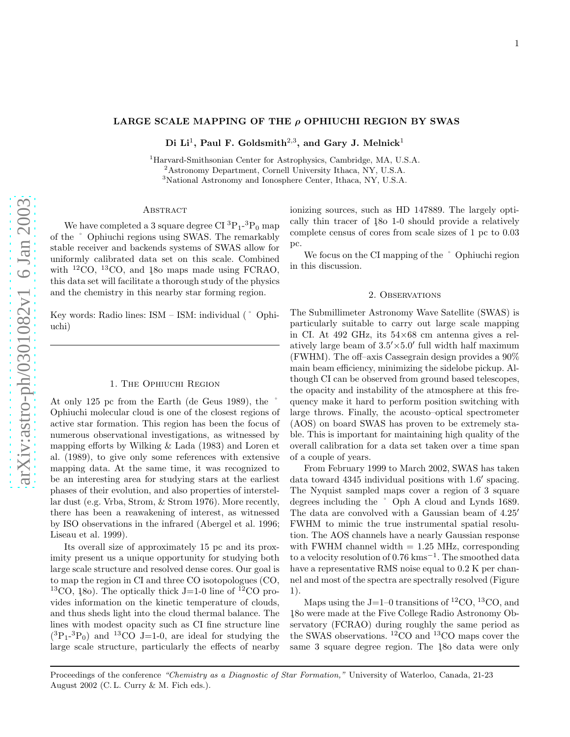## LARGE SCALE MAPPING OF THE  $\rho$  OPHIUCHI REGION BY SWAS

Di Li<sup>1</sup>, Paul F. Goldsmith<sup>2,3</sup>, and Gary J. Melnick<sup>1</sup>

 $^1$ Harvard-Smithsonian Center for Astrophysics, Cambridge, MA, U.S.A.  $^2$ Astronomy Department, Cornell University Ithaca, NY, U.S.A.  $^3$ National Astronomy and Ionosphere Center, Ithaca, NY, U.S.A.

# **ABSTRACT**

We have completed a 3 square degree  $CI^{3}P_{1}^{-3}P_{0}$  map of the ˚ Ophiuchi regions using SWAS. The remarkably stable receiver and backends systems of SWAS allow for uniformly calibrated data set on this scale. Combined with  ${}^{12}CO$ ,  ${}^{13}CO$ , and 180 maps made using FCRAO. this data set will facilitate a thorough study of the physics and the chemistry in this nearby star forming region.

Key words: Radio lines: ISM – ISM: individual (˚ Ophiuchi)

## 1. The Ophiuchi Region

At only  $125$  pc from the Earth (de Geus 1989), the Ophiuchi molecular cloud is one of the closest regions of active star formation. This region has been the focus of numerous observational investigations, as witnessed by mapping efforts by Wilking & Lada (1983) and Loren et al. (1989), to give only some references with extensive mapping data. At the same time, it was recognized to be an interesting area for studying stars at the earliest phases of their evolution, and also properties of interstellar dust (e.g. Vrba, Strom, & Strom 1976). More recently, there has been a reawakening of interest, as witnessed by ISO observations in the infrared (Abergel et al. 1996; Liseau et al. 1999).

Its overall size of approximately 15 pc and its proximity present us a unique opportunity for studying both large scale structure and resolved dense cores. Our goal is to map the region in CI and three CO isotopologues (CO, <sup>13</sup>CO, 180). The optically thick J=1-0 line of <sup>12</sup>CO provides information on the kinetic temperature of clouds, and thus sheds light into the cloud thermal balance. The lines with modest opacity such as CI fine structure line  $(^3P_1-^3P_0)$  and <sup>13</sup>CO J=1-0, are ideal for studying the large scale structure, particularly the effects of nearby ionizing sources, such as HD 147889. The largely optically thin tracer of 180 1-0 should provide a relatively complete census of cores from scale sizes of 1 pc to 0.03 pc.

We focus on the CI mapping of the  $\degree$  Ophiuchi region in this discussion.

## 2. Observations

The Submillimeter Astronomy Wave Satellite (SWAS) is particularly suitable to carry out large scale mapping in CI. At  $492$  GHz, its  $54\times68$  cm antenna gives a relatively large beam of  $3.5' \times 5.0'$  full width half maximum (FWHM). The off–axis Cassegrain design provides a 90% main beam efficiency, minimizing the sidelobe pickup. Although CI can be observed from ground based telescopes, the opacity and instability of the atmosphere at this frequency make it hard to perform position switching with large throws. Finally, the acousto–optical spectrometer (AOS) on board SWAS has proven to be extremely stable. This is important for maintaining high quality of the overall calibration for a data set taken over a time span of a couple of years.

From February 1999 to March 2002, SWAS has taken data toward 4345 individual positions with 1.6' spacing. The Nyquist sampled maps cover a region of 3 square degrees including the ˚ Oph A cloud and Lynds 1689. The data are convolved with a Gaussian beam of  $4.25'$ FWHM to mimic the true instrumental spatial resolution. The AOS channels have a nearly Gaussian response with FWHM channel width  $= 1.25$  MHz, corresponding to a velocity resolution of 0.76 kms<sup>-1</sup>. The smoothed data have a representative RMS noise equal to 0.2 K per channel and most of the spectra are spectrally resolved (Figure 1).

Maps using the J=1–0 transitions of  ${}^{12}CO$ ,  ${}^{13}CO$ , and 180 were made at the Five College Radio Astronomy Observatory (FCRAO) during roughly the same period as the SWAS observations. <sup>12</sup>CO and <sup>13</sup>CO maps cover the same 3 square degree region. The 180 data were only

Proceedings of the conference "Chemistry as a Diagnostic of Star Formation," University of Waterloo, Canada, 21-23 August 2002 (C. L. Curry & M. Fich eds.).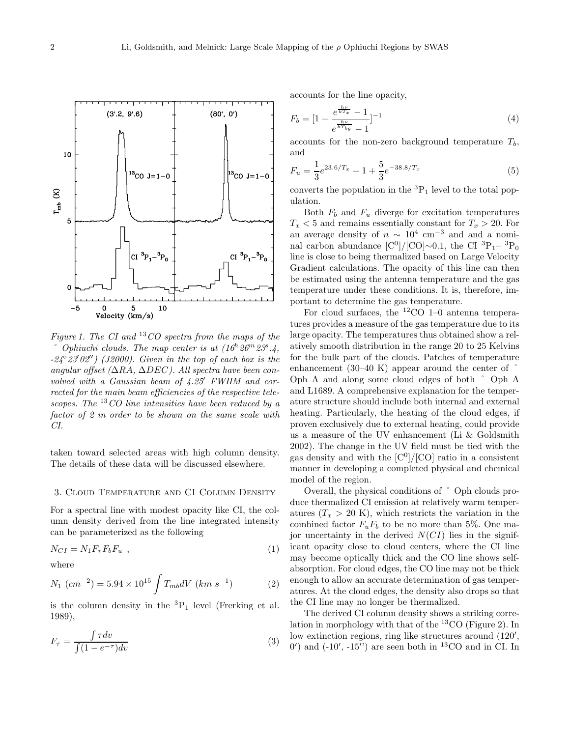Figure 1. The CI and  $^{13}CO$  spectra from the maps of the  $\degree$  Ophiuchi clouds. The map center is at  $(16^h 26^m 23^s.4,$  $-24°23'02'$ ) (J2000). Given in the top of each box is the angular offset ( $\Delta RA$ ,  $\Delta DEC$ ). All spectra have been convolved with a Gaussian beam of 4.25′ FWHM and corrected for the main beam efficiencies of the respective telescopes. The  $^{13}CO$  line intensities have been reduced by a factor of 2 in order to be shown on the same scale with CI.

taken toward selected areas with high column density. The details of these data will be discussed elsewhere.

#### 3. Cloud Temperature and CI Column Density

For a spectral line with modest opacity like CI, the column density derived from the line integrated intensity can be parameterized as the following

$$
N_{CI} = N_1 F_\tau F_b F_u \tag{1}
$$

where

$$
N_1 (cm^{-2}) = 5.94 \times 10^{15} \int T_{mb} dV (km s^{-1}) \tag{2}
$$

is the column density in the  ${}^{3}P_{1}$  level (Frerking et al. 1989),

$$
F_{\tau} = \frac{\int \tau dv}{\int (1 - e^{-\tau}) dv} \tag{3}
$$

accounts for the line opacity,

$$
F_b = \left[1 - \frac{e^{\frac{h\nu}{kT_x}} - 1}{e^{\frac{h\nu}{kT_{bg}}} - 1}\right]^{-1}
$$
\n<sup>(4)</sup>

accounts for the non-zero background temperature  $T_b$ , and

$$
F_u = \frac{1}{3}e^{23.6/T_x} + 1 + \frac{5}{3}e^{-38.8/T_x}
$$
\n(5)

converts the population in the  ${}^{3}P_1$  level to the total population.

Both  $F_b$  and  $F_u$  diverge for excitation temperatures  $T_x < 5$  and remains essentially constant for  $T_x > 20$ . For an average density of  $n \sim 10^4$  cm<sup>-3</sup> and and a nominal carbon abundance  $\text{[C}^0\text{]} / \text{[CO]} \sim 0.1$ , the CI  ${}^{3}P_{1} - {}^{3}P_{0}$ line is close to being thermalized based on Large Velocity Gradient calculations. The opacity of this line can then be estimated using the antenna temperature and the gas temperature under these conditions. It is, therefore, important to determine the gas temperature.

For cloud surfaces, the  ${}^{12}CO$  1–0 antenna temperatures provides a measure of the gas temperature due to its large opacity. The temperatures thus obtained show a relatively smooth distribution in the range 20 to 25 Kelvins for the bulk part of the clouds. Patches of temperature enhancement  $(30-40 \text{ K})$  appear around the center of Oph A and along some cloud edges of both ˚ Oph A and L1689. A comprehensive explanation for the temperature structure should include both internal and external heating. Particularly, the heating of the cloud edges, if proven exclusively due to external heating, could provide us a measure of the UV enhancement (Li & Goldsmith 2002). The change in the UV field must be tied with the gas density and with the  $\text{[C}^0\text{]}/\text{[CO]}$  ratio in a consistent manner in developing a completed physical and chemical model of the region.

Overall, the physical conditions of ˚ Oph clouds produce thermalized CI emission at relatively warm temperatures  $(T_x > 20 \text{ K})$ , which restricts the variation in the combined factor  $F_uF_b$  to be no more than 5%. One major uncertainty in the derived  $N(Cl)$  lies in the significant opacity close to cloud centers, where the CI line may become optically thick and the CO line shows selfabsorption. For cloud edges, the CO line may not be thick enough to allow an accurate determination of gas temperatures. At the cloud edges, the density also drops so that the CI line may no longer be thermalized.

The derived CI column density shows a striking correlation in morphology with that of the <sup>13</sup>CO (Figure 2). In low extinction regions, ring like structures around (120',  $(0')$  and  $(-10', -15'')$  are seen both in <sup>13</sup>CO and in CI. In

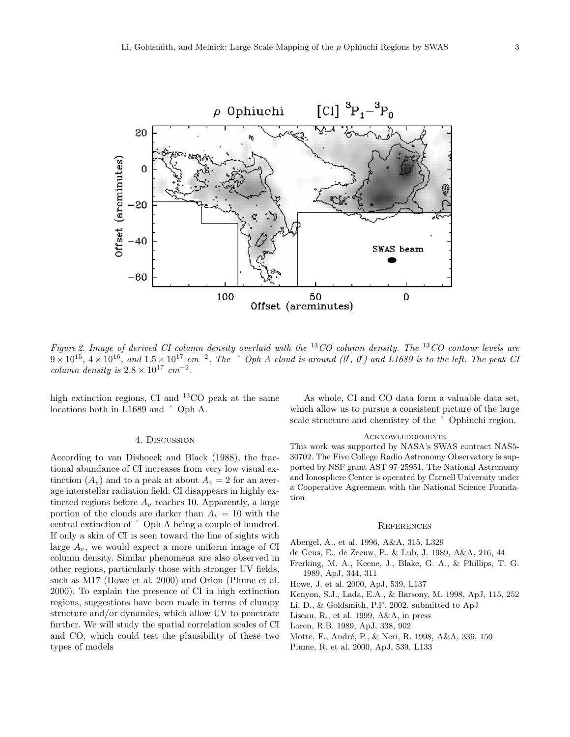

Figure 2. Image of derived CI column density overlaid with the  ${}^{13}CO$  column density. The  ${}^{13}CO$  contour levels are  $9 \times 10^{15}$ ,  $4 \times 10^{16}$ , and  $1.5 \times 10^{17}$  cm<sup>-2</sup>. The  $^{\circ}$  Oph A cloud is around (O, O) and L1689 is to the left. The peak Cl column density is  $2.8 \times 10^{17}$  cm<sup>-2</sup>.

high extinction regions, CI and <sup>13</sup>CO peak at the same locations both in L1689 and ˚ Oph A.

### 4. Discussion

According to van Dishoeck and Black (1988), the fractional abundance of CI increases from very low visual extinction  $(A_v)$  and to a peak at about  $A_v = 2$  for an average interstellar radiation field. CI disappears in highly extincted regions before  $A_v$  reaches 10. Apparently, a large portion of the clouds are darker than  $A_v = 10$  with the central extinction of ˚ Oph A being a couple of hundred. If only a skin of CI is seen toward the line of sights with large  $A_v$ , we would expect a more uniform image of CI column density. Similar phenomena are also observed in other regions, particularly those with stronger UV fields, such as M17 (Howe et al. 2000) and Orion (Plume et al. 2000). To explain the presence of CI in high extinction regions, suggestions have been made in terms of clumpy structure and/or dynamics, which allow UV to penetrate further. We will study the spatial correlation scales of CI and CO, which could test the plausibility of these two types of models

As whole, CI and CO data form a valuable data set, which allow us to pursue a consistent picture of the large scale structure and chemistry of the ˚ Ophiuchi region.

### **ACKNOWLEDGEMENTS**

This work was supported by NASA's SWAS contract NAS5- 30702. The Five College Radio Astronomy Observatory is supported by NSF grant AST 97-25951. The National Astronomy and Ionosphere Center is operated by Cornell University under a Cooperative Agreement with the National Science Foundation.

### **REFERENCES**

Abergel, A., et al. 1996, A&A, 315, L329

- de Geus, E., de Zeeuw, P., & Lub, J. 1989, A&A, 216, 44
- Frerking, M. A., Keene, J., Blake, G. A., & Phillips, T. G. 1989, ApJ, 344, 311
- Howe, J. et al. 2000, ApJ, 539, L137
- Kenyon, S.J., Lada, E.A., & Barsony, M. 1998, ApJ, 115, 252
- Li, D., & Goldsmith, P.F. 2002, submitted to ApJ
- Liseau, R., et al. 1999, A&A, in press
- Loren, R.B. 1989, ApJ, 338, 902
- Motte, F., André, P., & Neri, R. 1998, A&A, 336, 150
- Plume, R. et al. 2000, ApJ, 539, L133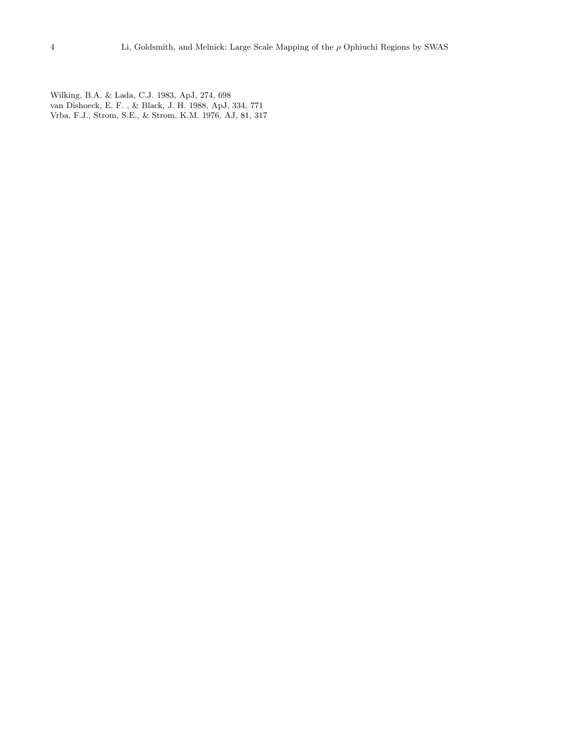Wilking, B.A. & Lada, C.J. 1983, ApJ, 274, 698 van Dishoeck, E. F. , & Black, J. H. 1988, ApJ, 334, 771 Vrba, F.J., Strom, S.E., & Strom, K.M. 1976, AJ, 81, 317